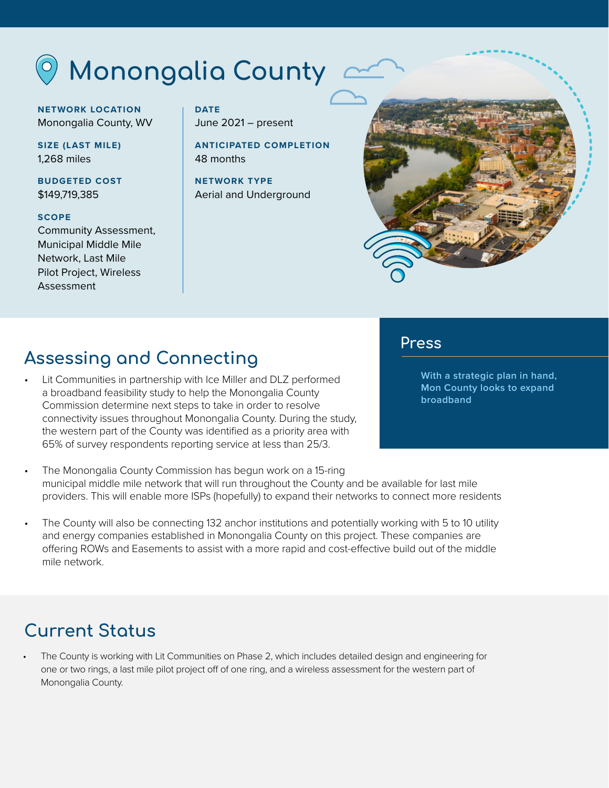## **Monongalia County**

**NETWORK LOCATION** Monongalia County, WV

**SIZE (LAST MILE)** 1,268 miles

**BUDGETED COST** \$149,719,385

#### **SCOPE**

Community Assessment, Municipal Middle Mile Network, Last Mile Pilot Project, Wireless Assessment

**DATE** June 2021 – present

**ANTICIPATED COMPLETION** 48 months

**NETWORK TYPE** Aerial and Underground



## **Assessing and Connecting**

• Lit Communities in partnership with Ice Miller and DLZ performed a broadband feasibility study to help the Monongalia County Commission determine next steps to take in order to resolve connectivity issues throughout Monongalia County. During the study, the western part of the County was identified as a priority area with 65% of survey respondents reporting service at less than 25/3.

#### **Press**

**[With a strategic plan in hand,](https://wajr.com/with-a-strategic-plan-in-hand-mon-county-looks-to-expand-broadband/)  [Mon County looks to expand](https://wajr.com/with-a-strategic-plan-in-hand-mon-county-looks-to-expand-broadband/)  [broadband](https://wajr.com/with-a-strategic-plan-in-hand-mon-county-looks-to-expand-broadband/)**

- The Monongalia County Commission has begun work on a 15-ring municipal middle mile network that will run throughout the County and be available for last mile providers. This will enable more ISPs (hopefully) to expand their networks to connect more residents
- The County will also be connecting 132 anchor institutions and potentially working with 5 to 10 utility and energy companies established in Monongalia County on this project. These companies are offering ROWs and Easements to assist with a more rapid and cost-effective build out of the middle mile network.

### **Current Status**

• The County is working with Lit Communities on Phase 2, which includes detailed design and engineering for one or two rings, a last mile pilot project off of one ring, and a wireless assessment for the western part of Monongalia County.